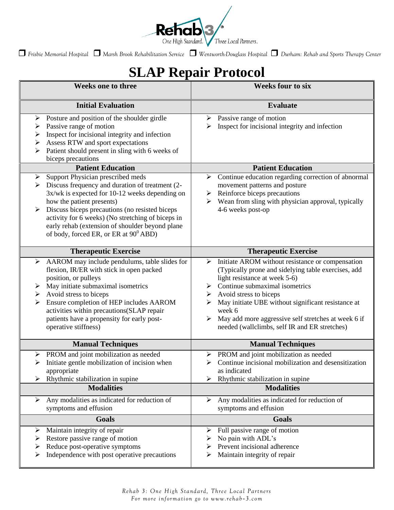

*Frisbie Memorial Hospital Marsh Brook Rehabilitation Service Wentworth-Douglass Hospital Durham: Rehab and Sports Therapy Center*

## **SLAP Repair Protocol**

| <b>Weeks one to three</b>                                                                                                                                                                                                                                                                                                                                                                    | <b>Weeks four to six</b>                                                                                                                                                                                                                                                                                                                                                                         |
|----------------------------------------------------------------------------------------------------------------------------------------------------------------------------------------------------------------------------------------------------------------------------------------------------------------------------------------------------------------------------------------------|--------------------------------------------------------------------------------------------------------------------------------------------------------------------------------------------------------------------------------------------------------------------------------------------------------------------------------------------------------------------------------------------------|
| <b>Initial Evaluation</b>                                                                                                                                                                                                                                                                                                                                                                    | <b>Evaluate</b>                                                                                                                                                                                                                                                                                                                                                                                  |
| Posture and position of the shoulder girdle<br>➤<br>Passive range of motion<br>➤<br>Inspect for incisional integrity and infection<br>➤<br>Assess RTW and sport expectations<br>➤<br>Patient should present in sling with 6 weeks of<br>biceps precautions                                                                                                                                   | $\triangleright$ Passive range of motion<br>Inspect for incisional integrity and infection<br>⋗                                                                                                                                                                                                                                                                                                  |
| <b>Patient Education</b>                                                                                                                                                                                                                                                                                                                                                                     | <b>Patient Education</b>                                                                                                                                                                                                                                                                                                                                                                         |
| Support Physician prescribed meds<br>➤<br>Discuss frequency and duration of treatment (2-<br>➤<br>3x/wk is expected for 10-12 weeks depending on<br>how the patient presents)<br>Discuss biceps precautions (no resisted biceps<br>activity for 6 weeks) (No stretching of biceps in<br>early rehab (extension of shoulder beyond plane<br>of body, forced ER, or ER at 90 <sup>0</sup> ABD) | Continue education regarding correction of abnormal<br>➤<br>movement patterns and posture<br>Reinforce biceps precautions<br>➤<br>Wean from sling with physician approval, typically<br>➤<br>4-6 weeks post-op                                                                                                                                                                                   |
| <b>Therapeutic Exercise</b>                                                                                                                                                                                                                                                                                                                                                                  | <b>Therapeutic Exercise</b>                                                                                                                                                                                                                                                                                                                                                                      |
| AAROM may include pendulums, table slides for<br>➤<br>flexion, IR/ER with stick in open packed<br>position, or pulleys<br>May initiate submaximal isometrics<br>➤<br>Avoid stress to biceps<br>➤<br>Ensure completion of HEP includes AAROM<br>activities within precautions (SLAP repair<br>patients have a propensity for early post-<br>operative stiffness)                              | Initiate AROM without resistance or compensation<br>➤<br>(Typically prone and sidelying table exercises, add<br>light resistance at week 5-6)<br>Continue submaximal isometrics<br>➤<br>Avoid stress to biceps<br>➤<br>May initiate UBE without significant resistance at<br>week 6<br>May add more aggressive self stretches at week 6 if<br>➤<br>needed (wallclimbs, self IR and ER stretches) |
| <b>Manual Techniques</b>                                                                                                                                                                                                                                                                                                                                                                     | <b>Manual Techniques</b>                                                                                                                                                                                                                                                                                                                                                                         |
| PROM and joint mobilization as needed<br>➤<br>Initiate gentle mobilization of incision when<br>➤<br>appropriate<br>Rhythmic stabilization in supine<br><b>Modalities</b>                                                                                                                                                                                                                     | PROM and joint mobilization as needed<br>➤<br>Continue incisional mobilization and desensitization<br>≻<br>as indicated<br>Rhythmic stabilization in supine<br>➤<br><b>Modalities</b>                                                                                                                                                                                                            |
| Any modalities as indicated for reduction of<br>➤                                                                                                                                                                                                                                                                                                                                            | Any modalities as indicated for reduction of<br>➤                                                                                                                                                                                                                                                                                                                                                |
| symptoms and effusion                                                                                                                                                                                                                                                                                                                                                                        | symptoms and effusion                                                                                                                                                                                                                                                                                                                                                                            |
| Goals                                                                                                                                                                                                                                                                                                                                                                                        | <b>Goals</b>                                                                                                                                                                                                                                                                                                                                                                                     |
| Maintain integrity of repair<br>➤<br>Restore passive range of motion<br>➤<br>Reduce post-operative symptoms<br>➤<br>Independence with post operative precautions<br>➤                                                                                                                                                                                                                        | Full passive range of motion<br>➤<br>No pain with ADL's<br>➤<br>Prevent incisional adherence<br>➤<br>Maintain integrity of repair<br>➤                                                                                                                                                                                                                                                           |